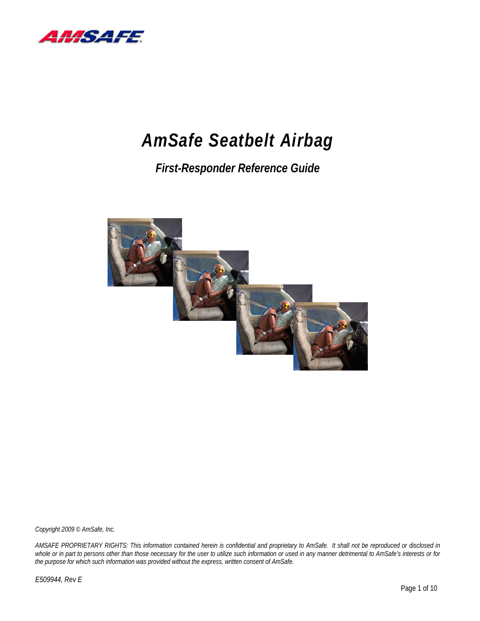

# *AmSafe Seatbelt Airbag*

# *First-Responder Reference Guide*



*Copyright 2009 © AmSafe, Inc.* 

*AMSAFE PROPRIETARY RIGHTS: This information contained herein is confidential and proprietary to AmSafe. It shall not be reproduced or disclosed in whole or in part to persons other than those necessary for the user to utilize such information or used in any manner detrimental to AmSafe's interests or for the purpose for which such information was provided without the express, written consent of AmSafe.* 

*E509944, Rev E*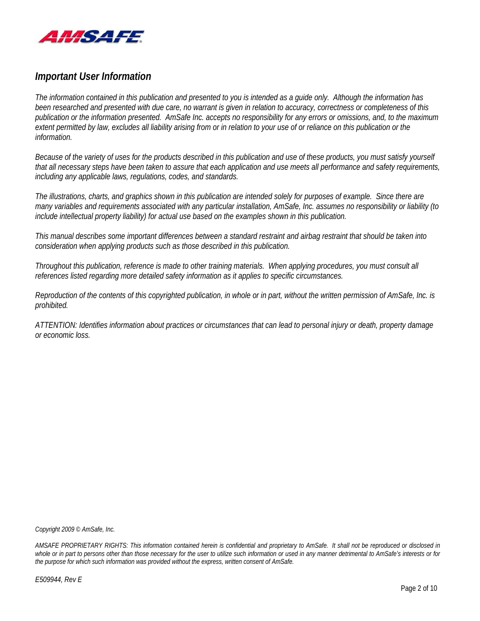

## *Important User Information*

*The information contained in this publication and presented to you is intended as a guide only. Although the information has been researched and presented with due care, no warrant is given in relation to accuracy, correctness or completeness of this publication or the information presented. AmSafe Inc. accepts no responsibility for any errors or omissions, and, to the maximum extent permitted by law, excludes all liability arising from or in relation to your use of or reliance on this publication or the information.* 

*Because of the variety of uses for the products described in this publication and use of these products, you must satisfy yourself that all necessary steps have been taken to assure that each application and use meets all performance and safety requirements, including any applicable laws, regulations, codes, and standards.* 

*The illustrations, charts, and graphics shown in this publication are intended solely for purposes of example. Since there are many variables and requirements associated with any particular installation, AmSafe, Inc. assumes no responsibility or liability (to include intellectual property liability) for actual use based on the examples shown in this publication.* 

*This manual describes some important differences between a standard restraint and airbag restraint that should be taken into consideration when applying products such as those described in this publication.* 

*Throughout this publication, reference is made to other training materials. When applying procedures, you must consult all references listed regarding more detailed safety information as it applies to specific circumstances.* 

*Reproduction of the contents of this copyrighted publication, in whole or in part, without the written permission of AmSafe, Inc. is prohibited.* 

*ATTENTION: Identifies information about practices or circumstances that can lead to personal injury or death, property damage or economic loss.* 

*Copyright 2009 © AmSafe, Inc.*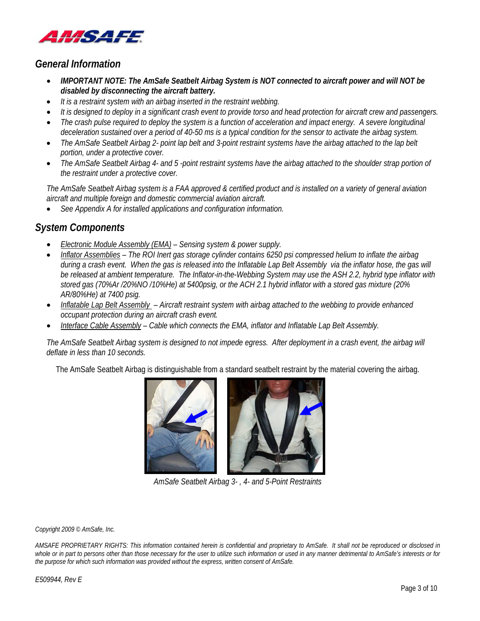

### *General Information*

- *IMPORTANT NOTE: The AmSafe Seatbelt Airbag System is NOT connected to aircraft power and will NOT be disabled by disconnecting the aircraft battery.*
- *It is a restraint system with an airbag inserted in the restraint webbing.*
- *It is designed to deploy in a significant crash event to provide torso and head protection for aircraft crew and passengers.*
- *The crash pulse required to deploy the system is a function of acceleration and impact energy. A severe longitudinal deceleration sustained over a period of 40-50 ms is a typical condition for the sensor to activate the airbag system.*
- *The AmSafe Seatbelt Airbag 2- point lap belt and 3-point restraint systems have the airbag attached to the lap belt portion, under a protective cover.*
- *The AmSafe Seatbelt Airbag 4- and 5 -point restraint systems have the airbag attached to the shoulder strap portion of the restraint under a protective cover.*

*The AmSafe Seatbelt Airbag system is a FAA approved & certified product and is installed on a variety of general aviation aircraft and multiple foreign and domestic commercial aviation aircraft.* 

• *See Appendix A for installed applications and configuration information.* 

## *System Components*

- *Electronic Module Assembly (EMA) Sensing system & power supply.*
- *Inflator Assemblies The ROI Inert gas storage cylinder contains 6250 psi compressed helium to inflate the airbag during a crash event. When the gas is released into the Inflatable Lap Belt Assembly via the inflator hose, the gas will be released at ambient temperature. The Inflator-in-the-Webbing System may use the ASH 2.2, hybrid type inflator with stored gas (70%Ar /20%NO /10%He) at 5400psig, or the ACH 2.1 hybrid inflator with a stored gas mixture (20% AR/80%He) at 7400 psig.*
- *Inflatable Lap Belt Assembly Aircraft restraint system with airbag attached to the webbing to provide enhanced occupant protection during an aircraft crash event.*
- *Interface Cable Assembly Cable which connects the EMA, inflator and Inflatable Lap Belt Assembly.*

*The AmSafe Seatbelt Airbag system is designed to not impede egress. After deployment in a crash event, the airbag will deflate in less than 10 seconds.* 

The AmSafe Seatbelt Airbag is distinguishable from a standard seatbelt restraint by the material covering the airbag.



*AmSafe Seatbelt Airbag 3- , 4- and 5-Point Restraints* 

*Copyright 2009 © AmSafe, Inc.*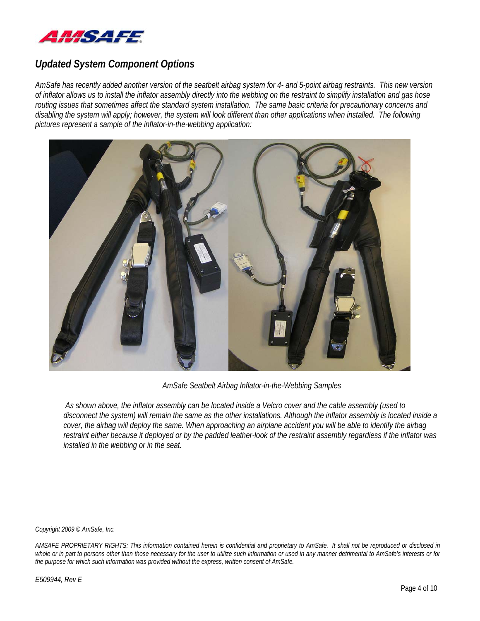

## *Updated System Component Options*

*AmSafe has recently added another version of the seatbelt airbag system for 4- and 5-point airbag restraints. This new version of inflator allows us to install the inflator assembly directly into the webbing on the restraint to simplify installation and gas hose routing issues that sometimes affect the standard system installation. The same basic criteria for precautionary concerns and disabling the system will apply; however, the system will look different than other applications when installed. The following pictures represent a sample of the inflator-in-the-webbing application:* 



*AmSafe Seatbelt Airbag Inflator-in-the-Webbing Samples* 

 *As shown above, the inflator assembly can be located inside a Velcro cover and the cable assembly (used to disconnect the system) will remain the same as the other installations. Although the inflator assembly is located inside a cover, the airbag will deploy the same. When approaching an airplane accident you will be able to identify the airbag restraint either because it deployed or by the padded leather-look of the restraint assembly regardless if the inflator was installed in the webbing or in the seat.* 

*Copyright 2009 © AmSafe, Inc.*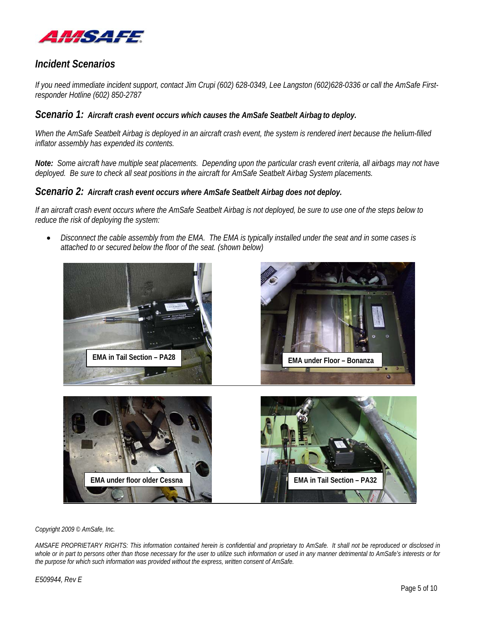

## *Incident Scenarios*

*If you need immediate incident support, contact Jim Crupi (602) 628-0349, Lee Langston (602)628-0336 or call the AmSafe Firstresponder Hotline (602) 850-2787* 

#### *Scenario 1: Aircraft crash event occurs which causes the AmSafe Seatbelt Airbag to deploy.*

*When the AmSafe Seatbelt Airbag is deployed in an aircraft crash event, the system is rendered inert because the helium-filled inflator assembly has expended its contents.* 

*Note: Some aircraft have multiple seat placements. Depending upon the particular crash event criteria, all airbags may not have deployed. Be sure to check all seat positions in the aircraft for AmSafe Seatbelt Airbag System placements.* 

#### *Scenario 2: Aircraft crash event occurs where AmSafe Seatbelt Airbag does not deploy.*

*If an aircraft crash event occurs where the AmSafe Seatbelt Airbag is not deployed, be sure to use one of the steps below to reduce the risk of deploying the system:* 

• *Disconnect the cable assembly from the EMA. The EMA is typically installed under the seat and in some cases is attached to or secured below the floor of the seat. (shown below)* 



*Copyright 2009 © AmSafe, Inc.*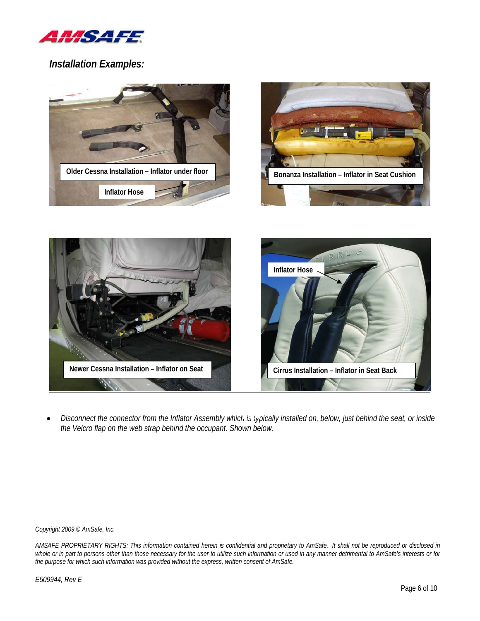

*Installation Examples:* 





 $\bullet$  *Disconnect the connector from the Inflator Assembly which is typically installed on, below, just behind the seat, or inside the Velcro flap on the web strap behind the occupant. Shown below.* 

*Copyright 2009 © AmSafe, Inc.*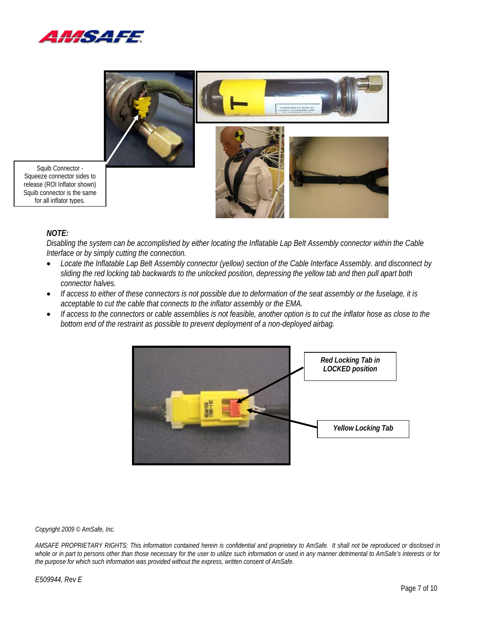



Squib Connector - Squeeze connector sides to release (ROI Inflator shown) Squib connector is the same for all inflator types.

#### *NOTE:*

*Disabling the system can be accomplished by either locating the Inflatable Lap Belt Assembly connector within the Cable Interface or by simply cutting the connection.* 

- *Locate the Inflatable Lap Belt Assembly connector (yellow) section of the Cable Interface Assembly. and disconnect by sliding the red locking tab backwards to the unlocked position, depressing the yellow tab and then pull apart both connector halves.*
- *If access to either of these connectors is not possible due to deformation of the seat assembly or the fuselage, it is acceptable to cut the cable that connects to the inflator assembly or the EMA.*
- *If access to the connectors or cable assemblies is not feasible, another option is to cut the inflator hose as close to the bottom end of the restraint as possible to prevent deployment of a non-deployed airbag.*



*Copyright 2009 © AmSafe, Inc.*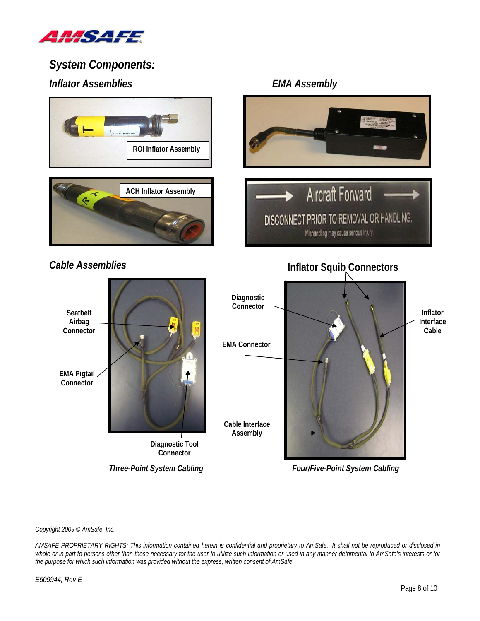

# *System Components: Inflator Assemblies EMA Assembly*



**Connector** 

*Three-Point System Cabling* 

*Four/Five-Point System Cabling*

*Copyright 2009 © AmSafe, Inc.*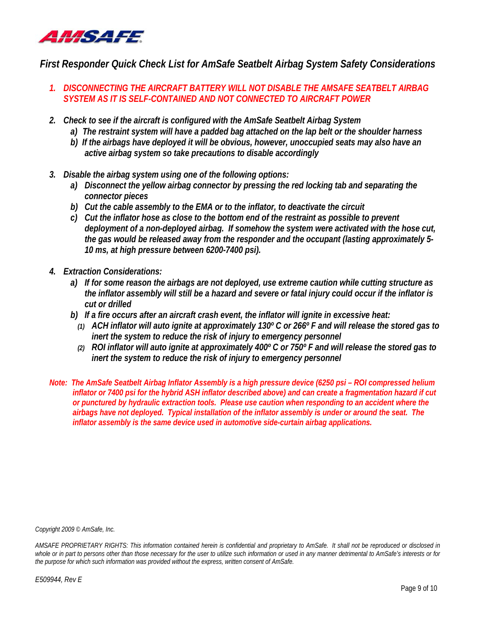

## *First Responder Quick Check List for AmSafe Seatbelt Airbag System Safety Considerations*

- *1. DISCONNECTING THE AIRCRAFT BATTERY WILL NOT DISABLE THE AMSAFE SEATBELT AIRBAG SYSTEM AS IT IS SELF-CONTAINED AND NOT CONNECTED TO AIRCRAFT POWER*
- *2. Check to see if the aircraft is configured with the AmSafe Seatbelt Airbag System* 
	- *a) The restraint system will have a padded bag attached on the lap belt or the shoulder harness*
	- *b) If the airbags have deployed it will be obvious, however, unoccupied seats may also have an active airbag system so take precautions to disable accordingly*
- *3. Disable the airbag system using one of the following options:* 
	- *a) Disconnect the yellow airbag connector by pressing the red locking tab and separating the connector pieces*
	- *b) Cut the cable assembly to the EMA or to the inflator, to deactivate the circuit*
	- *c) Cut the inflator hose as close to the bottom end of the restraint as possible to prevent deployment of a non-deployed airbag. If somehow the system were activated with the hose cut, the gas would be released away from the responder and the occupant (lasting approximately 5- 10 ms, at high pressure between 6200-7400 psi).*
- *4. Extraction Considerations:* 
	- *a) If for some reason the airbags are not deployed, use extreme caution while cutting structure as the inflator assembly will still be a hazard and severe or fatal injury could occur if the inflator is cut or drilled*
	- *b) If a fire occurs after an aircraft crash event, the inflator will ignite in excessive heat:* 
		- *(1) ACH inflator will auto ignite at approximately 130º C or 266º F and will release the stored gas to inert the system to reduce the risk of injury to emergency personnel*
		- *(2) ROI inflator will auto ignite at approximately 400º C or 750º F and will release the stored gas to inert the system to reduce the risk of injury to emergency personnel*
- *Note: The AmSafe Seatbelt Airbag Inflator Assembly is a high pressure device (6250 psi ROI compressed helium inflator or 7400 psi for the hybrid ASH inflator described above) and can create a fragmentation hazard if cut or punctured by hydraulic extraction tools. Please use caution when responding to an accident where the airbags have not deployed. Typical installation of the inflator assembly is under or around the seat. The inflator assembly is the same device used in automotive side-curtain airbag applications.*

*Copyright 2009 © AmSafe, Inc.*